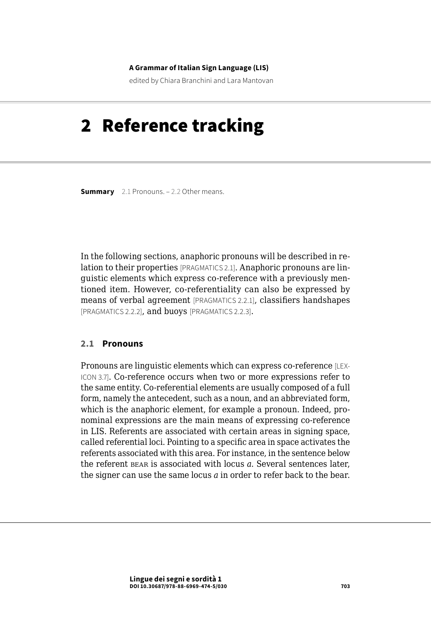#### **A Grammar of Italian Sign Language (LIS)**

edited by Chiara Branchini and Lara Mantovan

# 2 Reference tracking

**Summary** 2.1 Pronouns. – [2.2 Other means.](#page-5-0)

In the following sections, anaphoric pronouns will be described in relation to their properties [PRAGMATICS 2.1]. Anaphoric pronouns are linguistic elements which express co-reference with a previously mentioned item. However, co-referentiality can also be expressed by means of verbal agreement [PRAGMATICS 2.2.1], classifiers handshapes [PRAGMATICS 2.2.2], and buoys [PRAGMATICS 2.2.3].

#### **2.1 Pronouns**

Pronouns are linguistic elements which can express co-reference [LEX-ICON 3.7]. Co-reference occurs when two or more expressions refer to the same entity. Co-referential elements are usually composed of a full form, namely the antecedent, such as a noun, and an abbreviated form, which is the anaphoric element, for example a pronoun. Indeed, pronominal expressions are the main means of expressing co-reference in LIS. Referents are associated with certain areas in signing space, called referential loci. Pointing to a specific area in space activates the referents associated with this area. For instance, in the sentence below the referent bear is associated with locus *a*. Several sentences later, the signer can use the same locus *a* in order to refer back to the bear.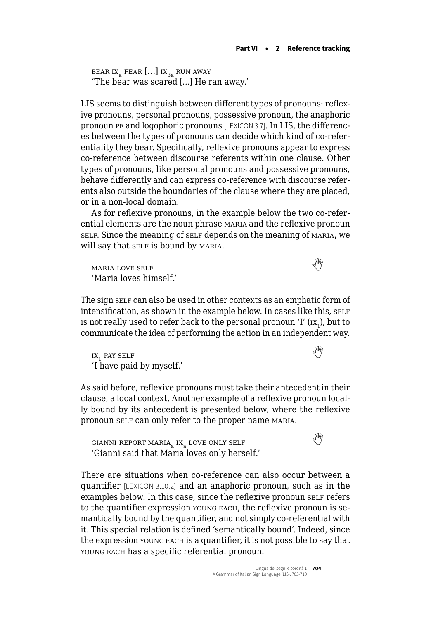```
bear ix<sub>a</sub> fear [...] ix<sub>3a</sub> run away
'The bear was scared […] He ran away.'
```
LIS seems to distinguish between different types of pronouns: reflexive pronouns, personal pronouns, possessive pronoun, the anaphoric pronoun pe and logophoric pronouns [LEXICON 3.7]. In LIS, the differences between the types of pronouns can decide which kind of co-referentiality they bear. Specifically, reflexive pronouns appear to express co-reference between discourse referents within one clause. Other types of pronouns, like personal pronouns and possessive pronouns, behave differently and can express co-reference with discourse referents also outside the boundaries of the clause where they are placed, or in a non-local domain.

As for reflexive pronouns, in the example below the two co-referential elements are the noun phrase maria and the reflexive pronoun self. Since the meaning of self depends on the meaning of maria, we will say that SELF is bound by MARIA.

maria love self  'Maria loves himself.'

The sign self can also be used in other contexts as an emphatic form of intensification, as shown in the example below. In cases like this, SELF is not really used to refer back to the personal pronoun 'I' ( $\rm{ix}_1$ ), but to communicate the idea of performing the action in an independent way.

 $ix_1$ pay self  $\mathbb{R}$ 'I have paid by myself.'

As said before, reflexive pronouns must take their antecedent in their clause, a local context. Another example of a reflexive pronoun locally bound by its antecedent is presented below, where the reflexive pronoun self can only refer to the proper name MARIA.

 $\begin{picture}(180,10) \put(0,0){\line(1,0){10}} \put(10,0){\line(1,0){10}} \put(10,0){\line(1,0){10}} \put(10,0){\line(1,0){10}} \put(10,0){\line(1,0){10}} \put(10,0){\line(1,0){10}} \put(10,0){\line(1,0){10}} \put(10,0){\line(1,0){10}} \put(10,0){\line(1,0){10}} \put(10,0){\line(1,0){10}} \put(10,0){\line(1,0){10}} \put(10,0){\line($  $\begin{picture}(180,10) \put(0,0){\line(1,0){10}} \put(10,0){\line(1,0){10}} \put(10,0){\line(1,0){10}} \put(10,0){\line(1,0){10}} \put(10,0){\line(1,0){10}} \put(10,0){\line(1,0){10}} \put(10,0){\line(1,0){10}} \put(10,0){\line(1,0){10}} \put(10,0){\line(1,0){10}} \put(10,0){\line(1,0){10}} \put(10,0){\line(1,0){10}} \put(10,0){\line($  $\begin{picture}(180,10) \put(0,0){\line(1,0){10}} \put(10,0){\line(1,0){10}} \put(10,0){\line(1,0){10}} \put(10,0){\line(1,0){10}} \put(10,0){\line(1,0){10}} \put(10,0){\line(1,0){10}} \put(10,0){\line(1,0){10}} \put(10,0){\line(1,0){10}} \put(10,0){\line(1,0){10}} \put(10,0){\line(1,0){10}} \put(10,0){\line(1,0){10}} \put(10,0){\line($ 'Gianni said that Maria loves only herself.'

There are situations when co-reference can also occur between a quantifier [LEXICON 3.10.2] and an anaphoric pronoun, such as in the examples below. In this case, since the reflexive pronoun self refers to the quantifier expression young each, the reflexive pronoun is semantically bound by the quantifier, and not simply co-referential with it. This special relation is defined 'semantically bound'. Indeed, since the expression young each is a quantifier, it is not possible to say that young each has a specific referential pronoun.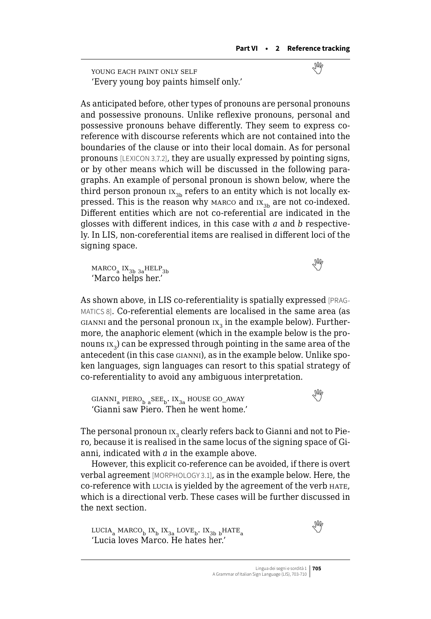young each paint only self  'Every young boy paints himself only.'

As anticipated before, other types of pronouns are personal pronouns and possessive pronouns. Unlike reflexive pronouns, personal and possessive pronouns behave differently. They seem to express coreference with discourse referents which are not contained into the boundaries of the clause or into their local domain. As for personal pronouns [LEXICON 3.7.2], they are usually expressed by pointing signs, or by other means which will be discussed in the following paragraphs. An example of personal pronoun is shown below, where the third person pronoun  $IX_{3b}$  refers to an entity which is not locally expressed. This is the reason why marco and  $\mathbf{x}_{3b}$  are not co-indexed. Different entities which are not co-referential are indicated in the glosses with different indices, in this case with *a* and *b* respectively. In LIS, non-coreferential items are realised in different loci of the signing space.

 $MARCO<sub>a</sub> IX<sub>3b</sub>$  $MARCO<sub>a</sub> IX<sub>3b</sub>$  $MARCO<sub>a</sub> IX<sub>3b</sub>$ <sub>3a</sub>HELP<sub>3b</sub> 'Marco helps her.'

As shown above, in LIS co-referentiality is spatially expressed [PRAG-MATICS 8]. Co-referential elements are localised in the same area (as GIANNI and the personal pronoun  $1x_3$  in the example below). Furthermore, the anaphoric element (which in the example below is the pronouns  $\mathbf{x}_3$ ) can be expressed through pointing in the same area of the antecedent (in this case gianni), as in the example below. Unlike spoken languages, sign languages can resort to this spatial strategy of co-referentiality to avoid any ambiguous interpretation.

GIANNI<sub>a</sub>PIERO<sub>b a</sub>SEE<sub>b</sub>. IX<sub>3a</sub> HOUSE GO\_AWAY 'Gianni saw Piero. Then he went home.'

The personal pronoun  $ix_2$  clearly refers back to Gianni and not to Piero, because it is realised in the same locus of the signing space of Gianni, indicated with *a* in the example above.

However, this explicit co-reference can be avoided, if there is overt verbal agreement [MORPHOLOGY 3.1], as in the example below. Here, the co-reference with lucia is yielded by the agreement of the verb hate, which is a directional verb. These cases will be further discussed in the next section.

 $LUCIA_a$ MARCO<sub>b</sub> IX<sub>b</sub> IX<sub>3a</sub> LOVE<sub>b</sub>. IX<sub>3b b</sub>HATE<sub>a</sub> 'Lucia loves Marco. He hates her.'

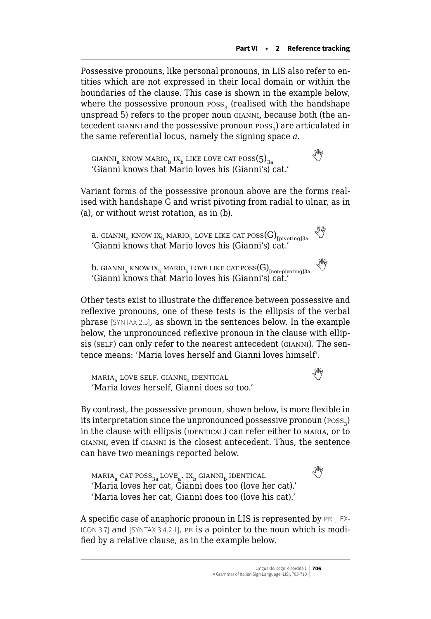Possessive pronouns, like personal pronouns, in LIS also refer to entities which are not expressed in their local domain or within the boundaries of the clause. This case is shown in the example below, where the possessive pronoun poss, (realised with the handshape unspread 5) refers to the proper noun gianni, because both (the antecedent GIANNI and the possessive pronoun poss<sub>3</sub>) are articulated in the same referential locus, namely the signing space *a*.

GIANNI<sub>a</sub>KNOW MARIO<sub>b</sub> IX<sub>b</sub> LIKE LOVE CAT POSS(5)<sub>3a</sub> 'Gianni knows that Mario loves his (Gianni's) cat.'

Variant forms of the possessive pronoun above are the forms realised with handshape G and wrist pivoting from radial to ulnar, as in (a), or without wrist rotation, as in (b).

**a.** gianni<sub>a</sub> know ix<sub>b</sub> mario<sub>b</sub> love like cat poss(G)<sub>[pivoting]3a</sub>  $\sqrt[3]{\mathbb{W}}$ 'Gianni knows that Mario loves his (Gianni's) cat.'

**b.** GIANNI<sub>a</sub> KNOW IX<sub>b</sub> MARIO<sub>b</sub> LOVE LIKE CAT POSS(G)<sub>[non-pivoting]3a</sub> 'Gianni knows that Mario loves his (Gianni's) cat.'

Other tests exist to illustrate the difference between possessive and reflexive pronouns, one of these tests is the ellipsis of the verbal phrase [SYNTAX 2.5], as shown in the sentences below. In the example below, the unpronounced reflexive pronoun in the clause with ellipsis (SELF) can only refer to the nearest antecedent (GIANNI). The sentence means: 'Maria loves herself and Gianni loves himself'.

```
\text{MARIA}_a LOVE SELF. GIANNI_{\text{h}} IDENTICAL
'Maria loves herself, Gianni does so too.'
```
By contrast, the possessive pronoun, shown below, is more flexible in its interpretation since the unpronounced possessive pronoun (poss<sub>3</sub>) in the clause with ellipsis (IDENTICAL) can refer either to MARIA, or to gianni, even if gianni is the closest antecedent. Thus, the sentence can have two meanings reported below.

 $MARIA_a$ CAT POSS<sub>3a</sub> LOVE<sub>a</sub>. IX<sub>b</sub> GIANNI<sub>b</sub> IDENTICAL 'Maria loves her cat, Gianni does too (love her cat).' 'Maria loves her cat, Gianni does too (love his cat).'

A specific case of anaphoric pronoun in LIS is represented by pe [LEX-ICON 3.7] and [SYNTAX 3.4.2.1]. pe is a pointer to the noun which is modified by a relative clause, as in the example below.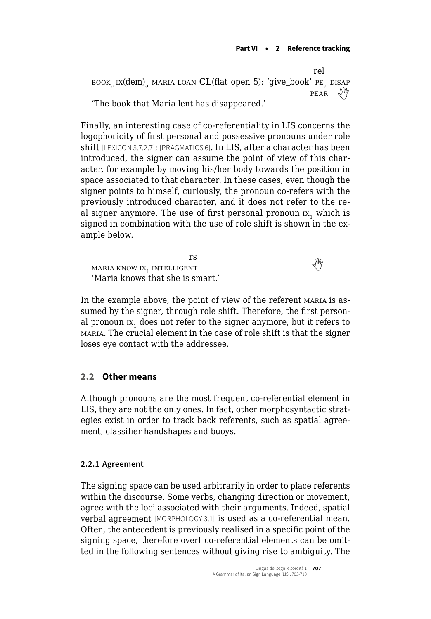|                                                                 | rel    |  |
|-----------------------------------------------------------------|--------|--|
| BOOK IX(dem) MARIA LOAN CL(flat open 5): 'give_book' PE DISAP   |        |  |
| $\sqrt{2}$ . The $\sqrt{2}$ is the $\sqrt{2}$ is the $\sqrt{2}$ | PEAR W |  |

'The book that Maria lent has disappeared.'

Finally, an interesting case of co-referentiality in LIS concerns the logophoricity of first personal and possessive pronouns under role shift [LEXICON 3.7.2.7]; [PRAGMATICS 6]. In LIS, after a character has been introduced, the signer can assume the point of view of this character, for example by moving his/her body towards the position in space associated to that character. In these cases, even though the signer points to himself, curiously, the pronoun co-refers with the previously introduced character, and it does not refer to the real signer anymore. The use of first personal pronoun  $IX<sub>1</sub>$  which is signed in combination with the use of role shift is shown in the example below.

rs  $\frac{13}{\text{MARIA KNOW IX}, \text{INTELLIGENT}}$  $\frac{13}{\text{MARIA KNOW IX}, \text{INTELLIGENT}}$  $\frac{13}{\text{MARIA KNOW IX}, \text{INTELLIGENT}}$ 'Maria knows that she is smart.'

In the example above, the point of view of the referent MARIA is assumed by the signer, through role shift. Therefore, the first personal pronoun  $IX<sub>1</sub>$  does not refer to the signer anymore, but it refers to maria. The crucial element in the case of role shift is that the signer loses eye contact with the addressee.

# **2.2 Other means**

Although pronouns are the most frequent co-referential element in LIS, they are not the only ones. In fact, other morphosyntactic strategies exist in order to track back referents, such as spatial agreement, classifier handshapes and buoys.

# **2.2.1 Agreement**

The signing space can be used arbitrarily in order to place referents within the discourse. Some verbs, changing direction or movement, agree with the loci associated with their arguments. Indeed, spatial verbal agreement [MORPHOLOGY 3.1] is used as a co-referential mean. Often, the antecedent is previously realised in a specific point of the signing space, therefore overt co-referential elements can be omitted in the following sentences without giving rise to ambiguity. The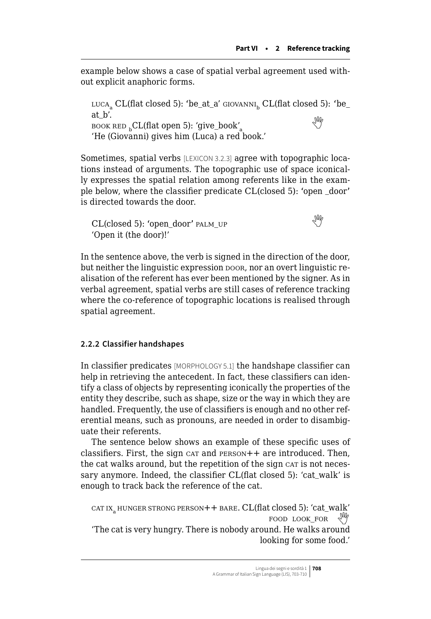<span id="page-5-0"></span>example below shows a case of spatial verbal agreement used without explicit anaphoric forms.

LUCA<sub>s</sub> CL(flat closed 5): 'be\_at\_a'  $GIOVANNI_b$  CL(flat closed 5): 'be\_ at\_b'.  $\sum_{\alpha \subset \Delta}$  $\sum_{\alpha \subset \Delta}$  $\sum_{\alpha \subset \Delta}$ .<br>BOOK RED  $_{\alpha}$ CL(flat open 5): 'give\_book' $_{\alpha}$ 'He (Giovanni) gives him (Luca) a red book.'

Sometimes, spatial verbs [LEXICON 3.2.3] agree with topographic locations instead of arguments. The topographic use of space iconically expresses the spatial relation among referents like in the example below, where the classifier predicate CL(closed 5): 'open \_door' is directed towards the door.

 $CL(closed 5)$  $CL(closed 5)$  $CL(closed 5)$ : 'open\_door' palm\_up 'Open it (the door)!'

In the sentence above, the verb is signed in the direction of the door, but neither the linguistic expression boor, nor an overt linguistic realisation of the referent has ever been mentioned by the signer. As in verbal agreement, spatial verbs are still cases of reference tracking where the co-reference of topographic locations is realised through spatial agreement.

### **2.2.2 Classifier handshapes**

In classifier predicates [MORPHOLOGY 5.1] the handshape classifier can help in retrieving the antecedent. In fact, these classifiers can identify a class of objects by representing iconically the properties of the entity they describe, such as shape, size or the way in which they are handled. Frequently, the use of classifiers is enough and no other referential means, such as pronouns, are needed in order to disambiguate their referents.

The sentence below shows an example of these specific uses of classifiers. First, the sign car and  $PERSON++$  are introduced. Then, the cat walks around, but the repetition of the sign car is not necessary anymore. Indeed, the classifier CL(flat closed 5): 'cat\_walk' is enough to track back the reference of the cat.

```
car IX<sub>a</sub> HUNGER STRONG PERSON++ BARE. CL(flat closed 5): 'cat_walk'food look_for 
'The cat is very hungry. There is nobody around. He walks around 
                                             looking for some food.'
```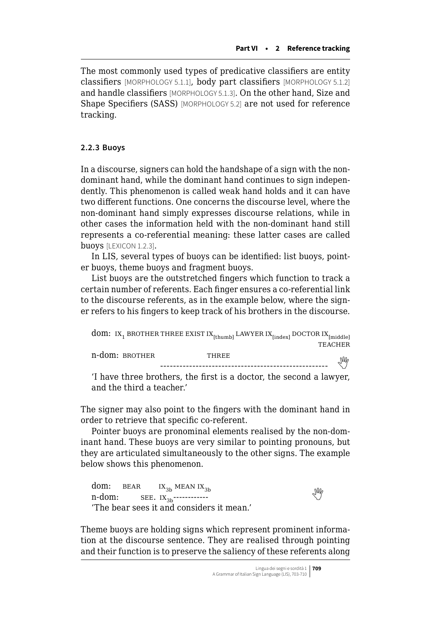The most commonly used types of predicative classifiers are entity classifiers [MORPHOLOGY 5.1.1], body part classifiers [MORPHOLOGY 5.1.2] and handle classifiers [MORPHOLOGY 5.1.3]. On the other hand, Size and Shape Specifiers (SASS) [MORPHOLOGY 5.2] are not used for reference tracking.

#### **2.2.3 Buoys**

In a discourse, signers can hold the handshape of a sign with the nondominant hand, while the dominant hand continues to sign independently. This phenomenon is called weak hand holds and it can have two different functions. One concerns the discourse level, where the non-dominant hand simply expresses discourse relations, while in other cases the information held with the non-dominant hand still represents a co-referential meaning: these latter cases are called buoys [LEXICON 1.2.3].

In LIS, several types of buoys can be identified: list buoys, pointer buoys, theme buoys and fragment buoys.

List buoys are the outstretched fingers which function to track a certain number of referents. Each finger ensures a co-referential link to the discourse referents, as in the example below, where the signer refers to his fingers to keep track of his brothers in the discourse.

|                | $\textbf{dom}\colon\operatorname{IX}_1\operatorname{BROTHER} \operatorname{THREE}\operatorname{EXIST}\operatorname{IX}_{\text{[thumb]}}\operatorname{LAWYER}\operatorname{IX}_{\text{[index]}}\operatorname{DOCTOR}\operatorname{IX}_{\text{[middle]}}$ |         |
|----------------|---------------------------------------------------------------------------------------------------------------------------------------------------------------------------------------------------------------------------------------------------------|---------|
|                |                                                                                                                                                                                                                                                         | TEACHER |
| n-dom: вкотнек | THREE                                                                                                                                                                                                                                                   | IM      |
|                |                                                                                                                                                                                                                                                         |         |

'I have three brothers, the first is a doctor, the second a lawyer, and the third a teacher.'

The signer may also point to the fingers with the dominant hand in order to retrieve that specific co-referent.

Pointer buoys are pronominal elements realised by the non-dominant hand. These buoys are very similar to pointing pronouns, but they are articulated simultaneously to the other signs. The example below shows this phenomenon.

dom:  $BEAR$   $IX_{3b}$  MEAN  $IX_{3b}$ <br>n-dom:  $SEE$ ,  $IX_{2b}$ -----------n-dom: see. ix3b------------  'The bear sees it and considers it mean.'

Theme buoys are holding signs which represent prominent information at the discourse sentence. They are realised through pointing and their function is to preserve the saliency of these referents along